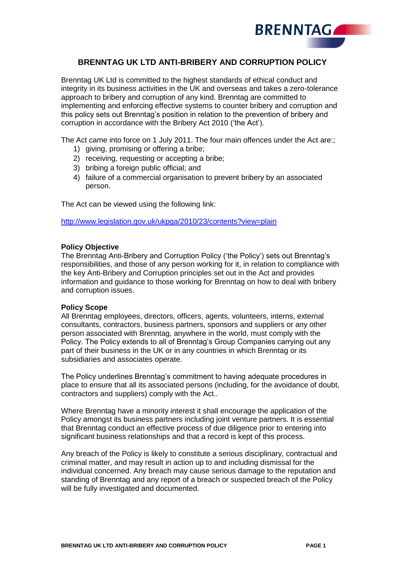

# **BRENNTAG UK LTD ANTI-BRIBERY AND CORRUPTION POLICY**

Brenntag UK Ltd is committed to the highest standards of ethical conduct and integrity in its business activities in the UK and overseas and takes a zero-tolerance approach to bribery and corruption of any kind. Brenntag are committed to implementing and enforcing effective systems to counter bribery and corruption and this policy sets out Brenntag's position in relation to the prevention of bribery and corruption in accordance with the Bribery Act 2010 ('the Act').

The Act came into force on 1 July 2011. The four main offences under the Act are:;

- 1) giving, promising or offering a bribe;
- 2) receiving, requesting or accepting a bribe;
- 3) bribing a foreign public official; and
- 4) failure of a commercial organisation to prevent bribery by an associated person.

The Act can be viewed using the following link:

<http://www.legislation.gov.uk/ukpga/2010/23/contents?view=plain>

#### **Policy Objective**

The Brenntag Anti-Bribery and Corruption Policy ('the Policy') sets out Brenntag's responsibilities, and those of any person working for it, in relation to compliance with the key Anti-Bribery and Corruption principles set out in the Act and provides information and guidance to those working for Brenntag on how to deal with bribery and corruption issues.

#### **Policy Scope**

All Brenntag employees, directors, officers, agents, volunteers, interns, external consultants, contractors, business partners, sponsors and suppliers or any other person associated with Brenntag, anywhere in the world, must comply with the Policy. The Policy extends to all of Brenntag's Group Companies carrying out any part of their business in the UK or in any countries in which Brenntag or its subsidiaries and associates operate.

The Policy underlines Brenntag's commitment to having adequate procedures in place to ensure that all its associated persons (including, for the avoidance of doubt, contractors and suppliers) comply with the Act..

Where Brenntag have a minority interest it shall encourage the application of the Policy amongst its business partners including joint venture partners. It is essential that Brenntag conduct an effective process of due diligence prior to entering into significant business relationships and that a record is kept of this process.

Any breach of the Policy is likely to constitute a serious disciplinary, contractual and criminal matter, and may result in action up to and including dismissal for the individual concerned. Any breach may cause serious damage to the reputation and standing of Brenntag and any report of a breach or suspected breach of the Policy will be fully investigated and documented.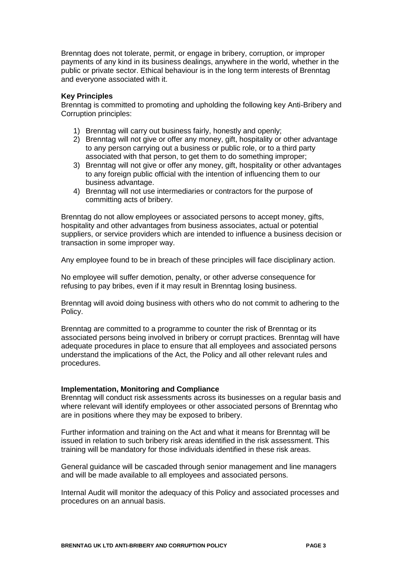Brenntag does not tolerate, permit, or engage in bribery, corruption, or improper payments of any kind in its business dealings, anywhere in the world, whether in the public or private sector. Ethical behaviour is in the long term interests of Brenntag and everyone associated with it.

## **Key Principles**

Brenntag is committed to promoting and upholding the following key Anti-Bribery and Corruption principles:

- 1) Brenntag will carry out business fairly, honestly and openly;
- 2) Brenntag will not give or offer any money, gift, hospitality or other advantage to any person carrying out a business or public role, or to a third party associated with that person, to get them to do something improper;
- 3) Brenntag will not give or offer any money, gift, hospitality or other advantages to any foreign public official with the intention of influencing them to our business advantage.
- 4) Brenntag will not use intermediaries or contractors for the purpose of committing acts of bribery.

Brenntag do not allow employees or associated persons to accept money, gifts, hospitality and other advantages from business associates, actual or potential suppliers, or service providers which are intended to influence a business decision or transaction in some improper way.

Any employee found to be in breach of these principles will face disciplinary action.

No employee will suffer demotion, penalty, or other adverse consequence for refusing to pay bribes, even if it may result in Brenntag losing business.

Brenntag will avoid doing business with others who do not commit to adhering to the Policy.

Brenntag are committed to a programme to counter the risk of Brenntag or its associated persons being involved in bribery or corrupt practices. Brenntag will have adequate procedures in place to ensure that all employees and associated persons understand the implications of the Act, the Policy and all other relevant rules and procedures.

### **Implementation, Monitoring and Compliance**

Brenntag will conduct risk assessments across its businesses on a regular basis and where relevant will identify employees or other associated persons of Brenntag who are in positions where they may be exposed to bribery.

Further information and training on the Act and what it means for Brenntag will be issued in relation to such bribery risk areas identified in the risk assessment. This training will be mandatory for those individuals identified in these risk areas.

General guidance will be cascaded through senior management and line managers and will be made available to all employees and associated persons.

Internal Audit will monitor the adequacy of this Policy and associated processes and procedures on an annual basis.